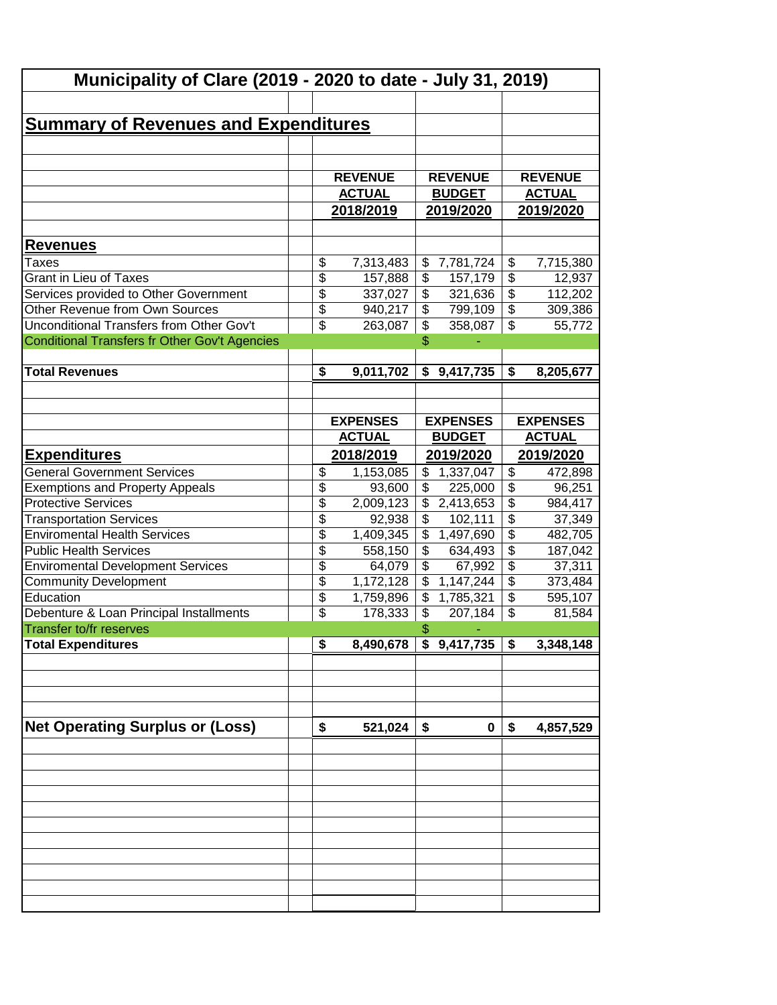| Municipality of Clare (2019 - 2020 to date - July 31, 2019) |                 |                 |                          |                           |                          |                 |
|-------------------------------------------------------------|-----------------|-----------------|--------------------------|---------------------------|--------------------------|-----------------|
|                                                             |                 |                 |                          |                           |                          |                 |
| <b>Summary of Revenues and Expenditures</b>                 |                 |                 |                          |                           |                          |                 |
|                                                             |                 |                 |                          |                           |                          |                 |
|                                                             |                 |                 |                          |                           |                          |                 |
|                                                             |                 | <b>REVENUE</b>  |                          | <b>REVENUE</b>            |                          | <b>REVENUE</b>  |
|                                                             |                 | <b>ACTUAL</b>   |                          | <b>BUDGET</b>             |                          | <b>ACTUAL</b>   |
|                                                             |                 | 2018/2019       |                          | 2019/2020                 |                          | 2019/2020       |
|                                                             |                 |                 |                          |                           |                          |                 |
| <b>Revenues</b>                                             |                 |                 |                          |                           |                          |                 |
| Taxes                                                       | \$              | 7,313,483       | \$                       | 7,781,724                 | \$                       | 7,715,380       |
| <b>Grant in Lieu of Taxes</b>                               | \$              | 157,888         | \$                       | 157,179                   | $\overline{\$}$          | 12,937          |
| Services provided to Other Government                       | \$              | 337,027         | \$                       | 321,636                   | $\overline{\$}$          | 112,202         |
| Other Revenue from Own Sources                              | \$              | 940,217         | \$                       | 799,109                   | $\overline{\$}$          | 309,386         |
| Unconditional Transfers from Other Gov't                    | \$              | 263,087         | \$                       | 358,087                   | $\overline{\mathcal{S}}$ | 55,772          |
| <b>Conditional Transfers fr Other Gov't Agencies</b>        |                 |                 | \$                       |                           |                          |                 |
|                                                             |                 |                 |                          |                           |                          |                 |
| <b>Total Revenues</b>                                       | \$              | 9,011,702       |                          | \$9,417,735               | \$                       | 8,205,677       |
|                                                             |                 |                 |                          |                           |                          |                 |
|                                                             |                 |                 |                          |                           |                          |                 |
|                                                             |                 | <b>EXPENSES</b> |                          | <b>EXPENSES</b>           |                          | <b>EXPENSES</b> |
|                                                             |                 | <b>ACTUAL</b>   |                          | <b>BUDGET</b>             |                          | <b>ACTUAL</b>   |
| <u>Expenditures</u>                                         |                 | 2018/2019       | 2019/2020                |                           |                          | 2019/2020       |
| <b>General Government Services</b>                          | \$              | 1,153,085       | \$                       | 1,337,047                 | \$                       | 472,898         |
| <b>Exemptions and Property Appeals</b>                      | $\overline{\$}$ | 93,600          | \$                       | 225,000                   | $\overline{\$}$          | 96,251          |
| <b>Protective Services</b>                                  | \$              | 2,009,123       |                          | $\overline{\$}$ 2,413,653 | $\overline{\$}$          | 984,417         |
| <b>Transportation Services</b>                              | \$              | 92,938          | \$                       | 102,111                   | $\overline{\$}$          | 37,349          |
| <b>Enviromental Health Services</b>                         | \$              | 1,409,345       | $\overline{\$}$          | 1,497,690                 | \$                       | 482,705         |
| <b>Public Health Services</b>                               | \$              | 558,150         | $\overline{\$}$          | 634,493                   | $\overline{\$}$          | 187,042         |
| <b>Enviromental Development Services</b>                    | \$              | 64,079          | $\overline{\mathcal{L}}$ | 67,992                    | $\overline{\$}$          | 37,311          |
| <b>Community Development</b>                                | \$              | 1,172,128       | $\overline{\mathcal{L}}$ | 1,147,244                 | $\overline{\$}$          | 373,484         |
| Education                                                   | \$              | 1,759,896       | \$                       | 1,785,321                 | \$                       | 595,107         |
| Debenture & Loan Principal Installments                     | \$              | 178,333         | \$                       | 207,184                   | \$                       | 81,584          |
| <b>Transfer to/fr reserves</b>                              |                 |                 | \$                       |                           |                          |                 |
| <b>Total Expenditures</b>                                   | \$              | 8,490,678       |                          | \$9,417,735               | \$                       | 3,348,148       |
|                                                             |                 |                 |                          |                           |                          |                 |
|                                                             |                 |                 |                          |                           |                          |                 |
|                                                             |                 |                 |                          |                           |                          |                 |
|                                                             |                 |                 |                          |                           |                          |                 |
| <b>Net Operating Surplus or (Loss)</b>                      | \$              | 521,024         | \$                       | 0                         | \$                       | 4,857,529       |
|                                                             |                 |                 |                          |                           |                          |                 |
|                                                             |                 |                 |                          |                           |                          |                 |
|                                                             |                 |                 |                          |                           |                          |                 |
|                                                             |                 |                 |                          |                           |                          |                 |
|                                                             |                 |                 |                          |                           |                          |                 |
|                                                             |                 |                 |                          |                           |                          |                 |
|                                                             |                 |                 |                          |                           |                          |                 |
|                                                             |                 |                 |                          |                           |                          |                 |
|                                                             |                 |                 |                          |                           |                          |                 |
|                                                             |                 |                 |                          |                           |                          |                 |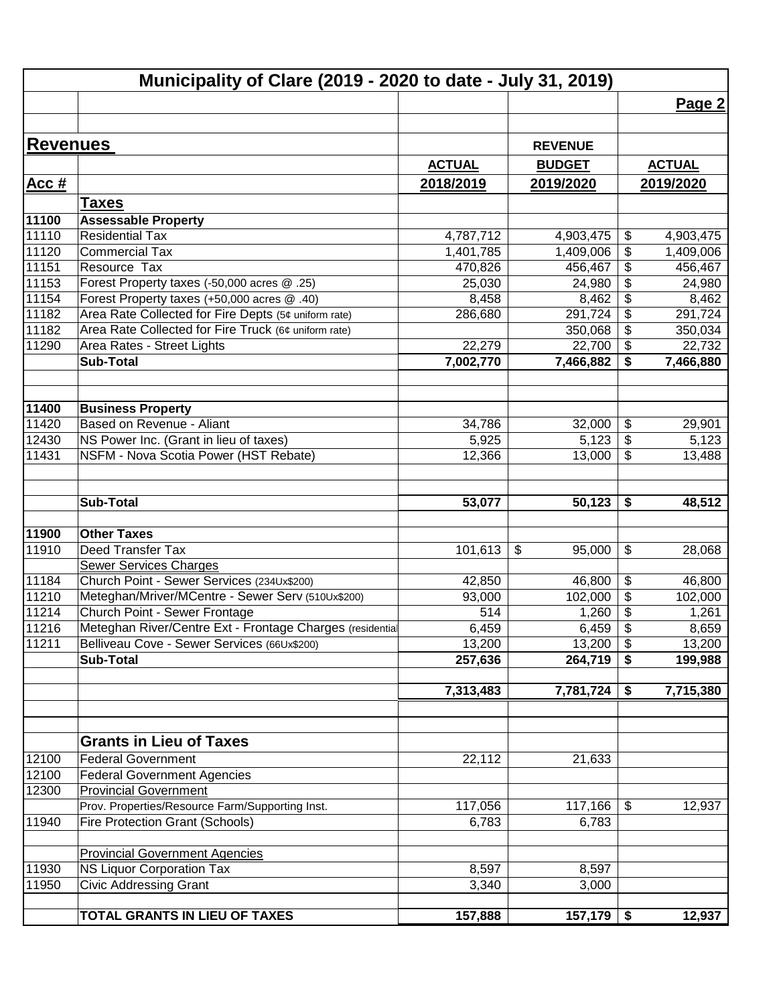|          | Municipality of Clare (2019 - 2020 to date - July 31, 2019) |               |                |                           |               |
|----------|-------------------------------------------------------------|---------------|----------------|---------------------------|---------------|
|          |                                                             |               |                |                           | Page 2        |
| Revenues |                                                             |               |                |                           |               |
|          |                                                             |               | <b>REVENUE</b> |                           |               |
|          |                                                             | <b>ACTUAL</b> | <b>BUDGET</b>  |                           | <b>ACTUAL</b> |
| Acc#     |                                                             | 2018/2019     | 2019/2020      |                           | 2019/2020     |
|          | <b>Taxes</b>                                                |               |                |                           |               |
| 11100    | <b>Assessable Property</b>                                  |               |                |                           |               |
| 11110    | <b>Residential Tax</b>                                      | 4,787,712     | 4,903,475      | \$                        | 4,903,475     |
| 11120    | <b>Commercial Tax</b>                                       | 1,401,785     | 1,409,006      | \$                        | 1,409,006     |
| 11151    | Resource Tax                                                | 470,826       | 456,467        | \$                        | 456,467       |
| 11153    | Forest Property taxes (-50,000 acres @ .25)                 | 25,030        | 24,980         | \$                        | 24,980        |
| 11154    | Forest Property taxes (+50,000 acres @ .40)                 | 8,458         | 8,462          | \$                        | 8,462         |
| 11182    | Area Rate Collected for Fire Depts (5¢ uniform rate)        | 286,680       | 291,724        | \$                        | 291,724       |
| 11182    | Area Rate Collected for Fire Truck (6¢ uniform rate)        |               | 350,068        | \$                        | 350,034       |
| 11290    | Area Rates - Street Lights                                  | 22,279        | 22,700         | \$                        | 22,732        |
|          | <b>Sub-Total</b>                                            | 7,002,770     | 7,466,882      | \$                        | 7,466,880     |
|          |                                                             |               |                |                           |               |
| 11400    | <b>Business Property</b>                                    |               |                |                           |               |
| 11420    | Based on Revenue - Aliant                                   | 34,786        | 32,000         | \$                        | 29,901        |
| 12430    | NS Power Inc. (Grant in lieu of taxes)                      | 5,925         | 5,123          | \$                        | 5,123         |
| 11431    | NSFM - Nova Scotia Power (HST Rebate)                       | 12,366        | 13,000         | \$                        | 13,488        |
|          |                                                             |               |                |                           |               |
|          | <b>Sub-Total</b>                                            | 53,077        | 50,123         | \$                        | 48,512        |
|          |                                                             |               |                |                           |               |
| 11900    | <b>Other Taxes</b>                                          |               |                |                           |               |
| 11910    | Deed Transfer Tax                                           | 101,613       | \$<br>95,000   | \$                        | 28,068        |
|          | <b>Sewer Services Charges</b>                               |               |                |                           |               |
| 11184    | Church Point - Sewer Services (234Ux\$200)                  | 42,850        | 46,800         | \$                        | 46,800        |
| 11210    | Meteghan/Mriver/MCentre - Sewer Serv (510Ux\$200)           | 93,000        | 102,000        | \$                        | 102,000       |
| 11214    | Church Point - Sewer Frontage                               | 514           | 1,260          | \$                        | 1,261         |
| 11216    | Meteghan River/Centre Ext - Frontage Charges (residentia    | 6,459         | 6,459          | $\overline{\mathbf{e}}$   | 8,659         |
| 11211    | Belliveau Cove - Sewer Services (66Ux\$200)                 | 13,200        | 13,200         | $\boldsymbol{\mathsf{S}}$ | 13,200        |
|          | <b>Sub-Total</b>                                            | 257,636       | 264,719        | \$                        | 199,988       |
|          |                                                             | 7,313,483     | 7,781,724      | \$                        | 7,715,380     |
|          |                                                             |               |                |                           |               |
|          | <b>Grants in Lieu of Taxes</b>                              |               |                |                           |               |
|          |                                                             |               |                |                           |               |
| 12100    | <b>Federal Government</b>                                   | 22,112        | 21,633         |                           |               |
| 12100    | <b>Federal Government Agencies</b>                          |               |                |                           |               |
| 12300    | <b>Provincial Government</b>                                |               |                |                           |               |
|          | Prov. Properties/Resource Farm/Supporting Inst.             | 117,056       | 117,166        | $\boldsymbol{\mathsf{S}}$ | 12,937        |
| 11940    | Fire Protection Grant (Schools)                             | 6,783         | 6,783          |                           |               |
|          | <b>Provincial Government Agencies</b>                       |               |                |                           |               |
| 11930    | <b>NS Liquor Corporation Tax</b>                            | 8,597         | 8,597          |                           |               |
| 11950    | <b>Civic Addressing Grant</b>                               | 3,340         | 3,000          |                           |               |
|          |                                                             |               |                |                           |               |
|          | TOTAL GRANTS IN LIEU OF TAXES                               | 157,888       | $157,179$ \$   |                           |               |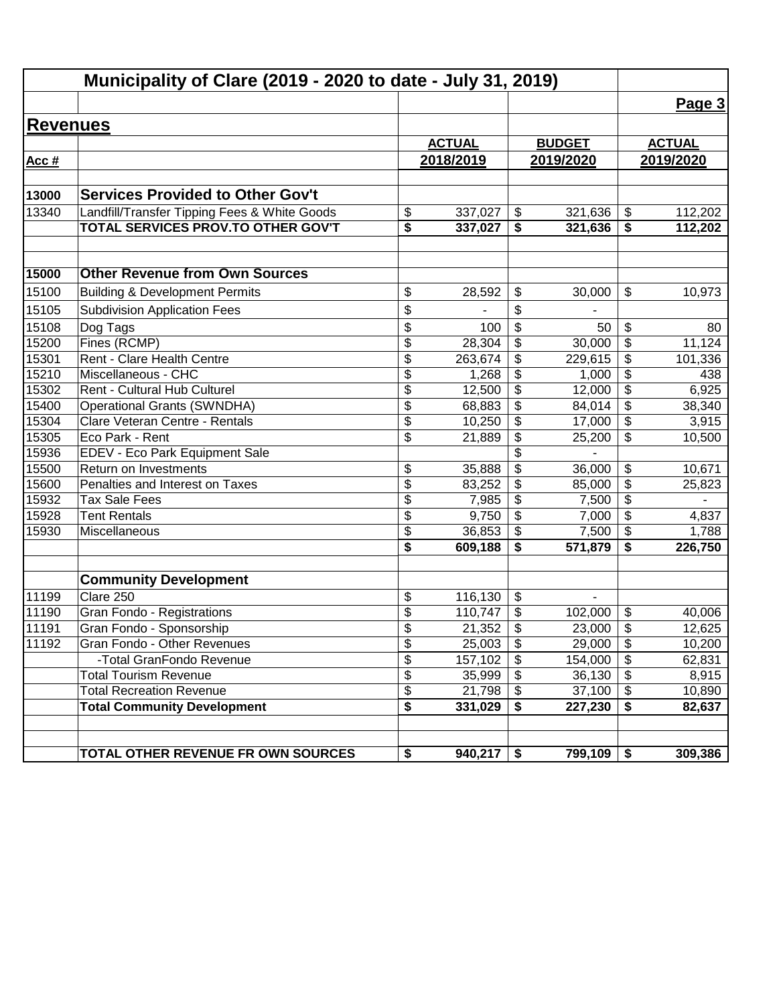|                 | Municipality of Clare (2019 - 2020 to date - July 31, 2019) |                          |                |                                        |                 |                                        |               |
|-----------------|-------------------------------------------------------------|--------------------------|----------------|----------------------------------------|-----------------|----------------------------------------|---------------|
|                 |                                                             |                          |                |                                        |                 |                                        | Page 3        |
| <b>Revenues</b> |                                                             |                          |                |                                        |                 |                                        |               |
|                 |                                                             |                          | <b>ACTUAL</b>  |                                        | <b>BUDGET</b>   |                                        | <b>ACTUAL</b> |
| Acc#            |                                                             |                          | 2018/2019      |                                        | 2019/2020       |                                        | 2019/2020     |
|                 |                                                             |                          |                |                                        |                 |                                        |               |
| 13000           | <b>Services Provided to Other Gov't</b>                     |                          |                |                                        |                 |                                        |               |
| 13340           | Landfill/Transfer Tipping Fees & White Goods                | \$                       | 337,027        | $\boldsymbol{\hat{\varphi}}$           | 321,636         | $\boldsymbol{\mathsf{\$}}$             | 112,202       |
|                 | TOTAL SERVICES PROV.TO OTHER GOV'T                          | \$                       | 337,027        | \$                                     | 321,636         | \$                                     | 112,202       |
| 15000           | <b>Other Revenue from Own Sources</b>                       |                          |                |                                        |                 |                                        |               |
|                 |                                                             |                          |                |                                        |                 |                                        |               |
| 15100           | <b>Building &amp; Development Permits</b>                   | \$                       | 28,592         | \$                                     | 30,000          | \$                                     | 10,973        |
| 15105           | <b>Subdivision Application Fees</b>                         | \$                       |                | \$                                     |                 |                                        |               |
| 15108           | Dog Tags                                                    | \$                       | 100            | \$                                     | 50              | \$                                     | 80            |
| 15200           | Fines (RCMP)                                                | $\overline{\mathcal{S}}$ | 28,304         | \$                                     | 30,000          | $\overline{\boldsymbol{\mathsf{s}}}$   | 11,124        |
| 15301           | Rent - Clare Health Centre<br>Miscellaneous - CHC           | $\overline{\mathcal{S}}$ | 263,674        | \$                                     | 229,615         | \$                                     | 101,336       |
| 15210           |                                                             | \$                       | 1,268          | \$                                     | 1,000           | \$                                     | 438           |
| 15302           | Rent - Cultural Hub Culturel                                | \$                       | 12,500         | \$                                     | 12,000          | $\overline{\boldsymbol{\theta}}$       | 6,925         |
| 15400           | <b>Operational Grants (SWNDHA)</b>                          | $\overline{\mathcal{S}}$ | 68,883         | $\overline{\mathbf{e}}$                | 84,014          | $\overline{\boldsymbol{\theta}}$       | 38,340        |
| 15304<br>15305  | Clare Veteran Centre - Rentals<br>Eco Park - Rent           | \$<br>\$                 | 10,250         | \$<br>$\overline{\mathbf{e}}$          | 17,000          | $\overline{\mathbf{S}}$<br>\$          | 3,915         |
|                 |                                                             |                          | 21,889         | $\overline{\$}$                        | 25,200          |                                        | 10,500        |
| 15936<br>15500  | EDEV - Eco Park Equipment Sale<br>Return on Investments     |                          |                | $\overline{\$}$                        |                 |                                        |               |
| 15600           | Penalties and Interest on Taxes                             | \$<br>$\overline{\$}$    | 35,888         | \$                                     | 36,000          | \$<br>$\overline{\$}$                  | 10,671        |
| 15932           | <b>Tax Sale Fees</b>                                        | $\overline{\$}$          | 83,252         | $\overline{\$}$                        | 85,000<br>7,500 | $\overline{\$}$                        | 25,823        |
| 15928           | <b>Tent Rentals</b>                                         | \$                       | 7,985<br>9,750 | $\overline{\mathcal{S}}$               | 7,000           | $\overline{\mathcal{L}}$               | 4,837         |
| 15930           | Miscellaneous                                               | \$                       | 36,853         | \$                                     | 7,500           | \$                                     | 1,788         |
|                 |                                                             | \$                       | 609,188        | \$                                     | 571,879         | \$                                     | 226,750       |
|                 |                                                             |                          |                |                                        |                 |                                        |               |
|                 | <b>Community Development</b>                                |                          |                |                                        |                 |                                        |               |
| 11199           | Clare 250                                                   | \$                       | 116,130        | \$                                     | $\blacksquare$  |                                        |               |
| 11190           | Gran Fondo - Registrations                                  | \$                       | 110,747        | \$                                     | 102,000         | \$                                     | 40,006        |
| 11191           | Gran Fondo - Sponsorship                                    | \$                       | 21,352         | \$                                     | 23,000          | $\overline{\boldsymbol{\epsilon}}$     | 12,625        |
| 11192           | Gran Fondo - Other Revenues                                 | \$                       | 25,003         | $\boldsymbol{\mathsf{S}}$              | 29,000          | \$                                     | 10,200        |
|                 | -Total GranFondo Revenue                                    | $\overline{\mathcal{S}}$ | 157,102        | $\overline{\boldsymbol{\mathfrak{s}}}$ | 154,000         | $\overline{\boldsymbol{\mathfrak{s}}}$ | 62,831        |
|                 | <b>Total Tourism Revenue</b>                                | $\overline{\mathcal{G}}$ | 35,999         | \$                                     | 36,130          | $\boldsymbol{\mathsf{S}}$              | 8,915         |
|                 | <b>Total Recreation Revenue</b>                             | \$                       | 21,798         | \$                                     | 37,100          | $\boldsymbol{\mathsf{S}}$              | 10,890        |
|                 | <b>Total Community Development</b>                          | \$                       | 331,029        | \$                                     | 227,230         | \$                                     | 82,637        |
|                 | TOTAL OTHER REVENUE FR OWN SOURCES                          | \$                       | 940,217        | \$                                     | 799,109         | \$                                     | 309,386       |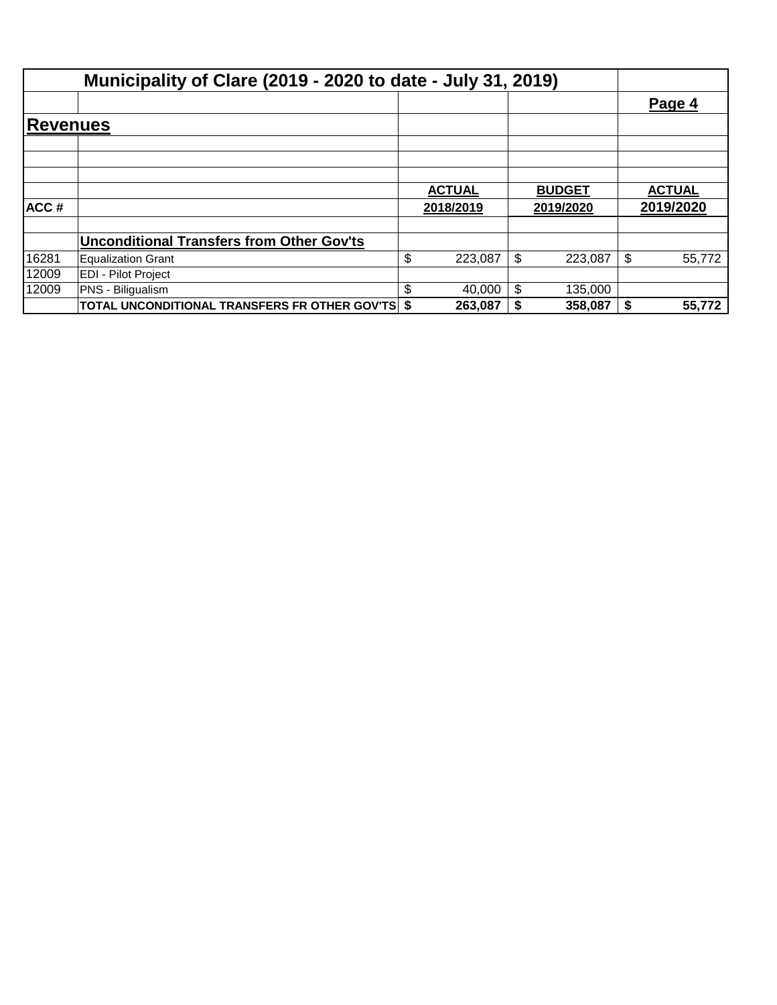|          |                                                         |           |               |           |               |           | Page 4        |  |
|----------|---------------------------------------------------------|-----------|---------------|-----------|---------------|-----------|---------------|--|
| Revenues |                                                         |           |               |           |               |           |               |  |
|          |                                                         |           |               |           |               |           |               |  |
|          |                                                         |           |               |           |               |           |               |  |
|          |                                                         |           | <b>ACTUAL</b> |           | <b>BUDGET</b> |           | <b>ACTUAL</b> |  |
| ACC#     |                                                         | 2018/2019 |               | 2019/2020 |               | 2019/2020 |               |  |
|          | <b>Unconditional Transfers from Other Gov'ts</b>        |           |               |           |               |           |               |  |
| 16281    | <b>Equalization Grant</b>                               | \$        | 223,087       | \$        | 223,087       |           | 55,772        |  |
| 12009    | <b>EDI - Pilot Project</b>                              |           |               |           |               |           |               |  |
| 12009    | PNS - Biligualism                                       | \$        | 40,000        | \$        | 135,000       |           |               |  |
|          | <b>TOTAL UNCONDITIONAL TRANSFERS FR OTHER GOV'TS \$</b> |           | 263,087       |           | 358,087       |           | 55,772        |  |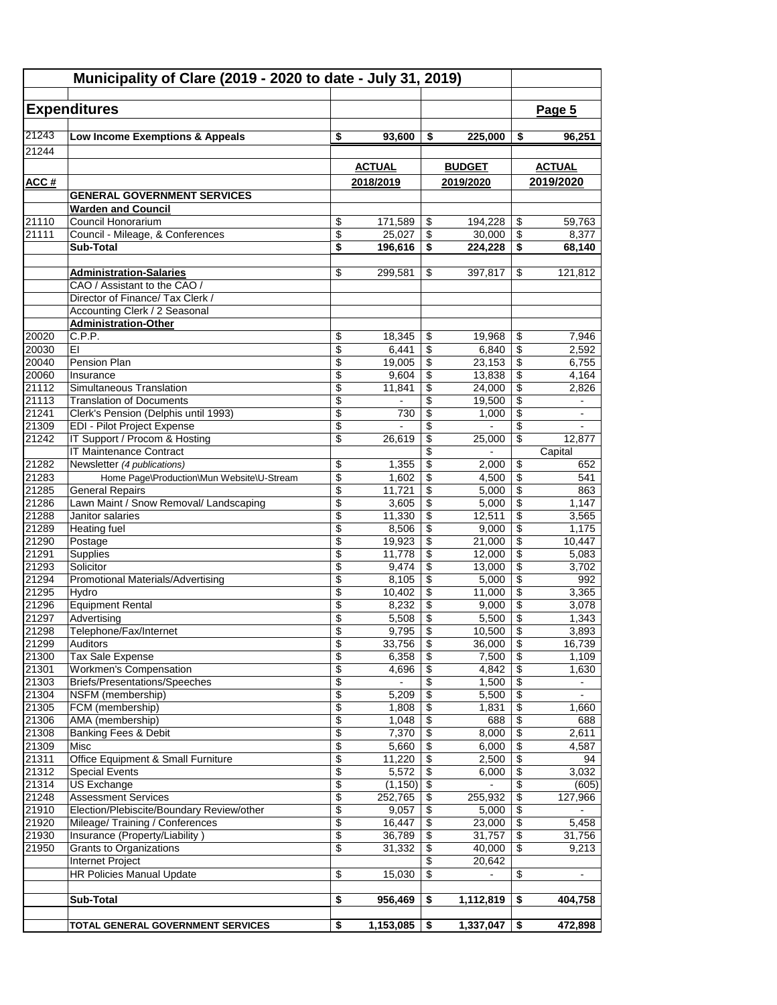| Municipality of Clare (2019 - 2020 to date - July 31, 2019) |                                                                     |                          |                   |                                                                          |                   |                                                                  |                                   |
|-------------------------------------------------------------|---------------------------------------------------------------------|--------------------------|-------------------|--------------------------------------------------------------------------|-------------------|------------------------------------------------------------------|-----------------------------------|
|                                                             | <b>Expenditures</b>                                                 |                          |                   |                                                                          |                   |                                                                  | Page 5                            |
| 21243                                                       | Low Income Exemptions & Appeals                                     | \$                       | 93,600            | \$                                                                       | 225,000           | \$                                                               | 96,251                            |
| 21244                                                       |                                                                     |                          |                   |                                                                          |                   |                                                                  |                                   |
|                                                             |                                                                     |                          | <b>ACTUAL</b>     |                                                                          | <b>BUDGET</b>     |                                                                  | <b>ACTUAL</b>                     |
| ACC#                                                        |                                                                     |                          | 2018/2019         |                                                                          | 2019/2020         |                                                                  | 2019/2020                         |
|                                                             | <b>GENERAL GOVERNMENT SERVICES</b>                                  |                          |                   |                                                                          |                   |                                                                  |                                   |
|                                                             | <b>Warden and Council</b>                                           |                          |                   |                                                                          |                   |                                                                  |                                   |
| 21110                                                       | Council Honorarium                                                  | \$                       | 171,589           | \$                                                                       | 194,228           | \$                                                               | 59,763                            |
| 21111                                                       | Council - Mileage, & Conferences<br><b>Sub-Total</b>                | \$<br>\$                 | 25.027<br>196,616 | $\overline{\boldsymbol{\theta}}$<br>$\overline{\boldsymbol{\mathsf{s}}}$ | 30,000<br>224,228 | $\overline{\mathcal{E}}$<br>$\overline{\boldsymbol{\mathsf{s}}}$ | 8,377<br>68,140                   |
|                                                             |                                                                     |                          |                   |                                                                          |                   |                                                                  |                                   |
|                                                             | <b>Administration-Salaries</b>                                      | \$                       | 299,581           | \$                                                                       | 397,817           | \$                                                               | 121,812                           |
|                                                             | CAO / Assistant to the CAO /                                        |                          |                   |                                                                          |                   |                                                                  |                                   |
|                                                             | Director of Finance/ Tax Clerk /                                    |                          |                   |                                                                          |                   |                                                                  |                                   |
|                                                             | Accounting Clerk / 2 Seasonal<br><b>Administration-Other</b>        |                          |                   |                                                                          |                   |                                                                  |                                   |
| 20020                                                       | C.P.P.                                                              | \$                       | 18,345            | \$                                                                       | 19,968            | \$                                                               | 7,946                             |
| 20030                                                       | EI                                                                  | \$                       | 6,441             | \$                                                                       | 6,840             | \$                                                               | 2,592                             |
| 20040                                                       | Pension Plan                                                        | \$                       | 19,005            | \$                                                                       | 23,153            | \$                                                               | 6,755                             |
| 20060                                                       | Insurance                                                           | \$                       | 9,604             | \$                                                                       | 13,838            | \$                                                               | 4,164                             |
| 21112                                                       | Simultaneous Translation                                            | \$                       | 11,841            | \$                                                                       | 24,000            | \$                                                               | 2,826                             |
| 21113                                                       | <b>Translation of Documents</b>                                     | \$                       |                   | \$                                                                       | 19,500            | \$                                                               | $\blacksquare$                    |
| 21241<br>21309                                              | Clerk's Pension (Delphis until 1993)<br>EDI - Pilot Project Expense | \$<br>\$                 | 730               | \$<br>\$                                                                 | 1,000             | $\overline{\$}$<br>\$                                            | $\blacksquare$                    |
| 21242                                                       | IT Support / Procom & Hosting                                       | \$                       | 26,619            | \$                                                                       | 25,000            | $\overline{\$}$                                                  | 12,877                            |
|                                                             | IT Maintenance Contract                                             |                          |                   | \$                                                                       |                   |                                                                  | Capital                           |
| 21282                                                       | Newsletter (4 publications)                                         | \$                       | 1,355             | \$                                                                       | 2,000             | \$                                                               | 652                               |
| 21283                                                       | Home Page\Production\Mun Website\U-Stream                           | \$                       | 1,602             | \$                                                                       | 4,500             | \$                                                               | 541                               |
| 21285                                                       | <b>General Repairs</b>                                              | \$                       | 11,721            | \$                                                                       | 5,000             | \$                                                               | 863                               |
| 21286<br>21288                                              | Lawn Maint / Snow Removal/ Landscaping<br>Janitor salaries          | \$<br>\$                 | 3,605             | \$<br>\$                                                                 | 5,000<br>12,511   | \$<br>\$                                                         | 1,147<br>3,565                    |
| 21289                                                       | <b>Heating fuel</b>                                                 | \$                       | 11,330<br>8,506   | \$                                                                       | 9,000             | $\overline{\$}$                                                  | 1,175                             |
| 21290                                                       | Postage                                                             | \$                       | 19,923            | \$                                                                       | 21,000            | \$                                                               | 10,447                            |
| 21291                                                       | Supplies                                                            | \$                       | 11,778            | \$                                                                       | 12,000            | $\overline{\$}$                                                  | 5,083                             |
| 21293                                                       | Solicitor                                                           | \$                       | 9,474             | \$                                                                       | 13,000            | \$                                                               | 3,702                             |
| 21294                                                       | Promotional Materials/Advertising                                   | \$                       | 8,105             | \$                                                                       | 5,000             | \$                                                               | 992                               |
| 21295<br>21296                                              | Hvdro                                                               | \$                       | 10,402            | $\overline{\mathbf{S}}$                                                  | 11,000            | \$                                                               | 3,365<br>3,078                    |
| 21297                                                       | <b>Equipment Rental</b><br>Advertising                              | \$<br>\$                 | 8,232<br>5,508    | \$<br>\$                                                                 | 9,000<br>5,500    | \$<br>\$                                                         | 1,343                             |
| 21298                                                       | Telephone/Fax/Internet                                              | \$                       | 9,795             | \$                                                                       | 10,500            | $\overline{\$}$                                                  | 3,893                             |
| 21299                                                       | Auditors                                                            | \$                       | 33,756            | \$                                                                       | 36,000            | \$                                                               | 16,739                            |
| 21300                                                       | Tax Sale Expense                                                    | \$                       | 6,358             | \$                                                                       | 7,500             | $\overline{\$}$                                                  | 1,109                             |
| 21301                                                       | <b>Workmen's Compensation</b>                                       | \$                       | 4,696             | \$                                                                       | 4,842             | $\overline{\mathcal{E}}$                                         | 1,630                             |
| 21303                                                       | <b>Briefs/Presentations/Speeches</b>                                | \$                       | $\blacksquare$    | \$                                                                       | 1,500             | $\overline{\mathbf{e}}$                                          | $\blacksquare$                    |
| 21304<br>21305                                              | NSFM (membership)<br>FCM (membership)                               | \$<br>\$                 | 5,209<br>1,808    | \$<br>$\overline{\mathbf{e}}$                                            | 5,500<br>1,831    | $\overline{\mathbf{e}}$<br>\$                                    | $\overline{\phantom{a}}$<br>1,660 |
| 21306                                                       | AMA (membership)                                                    | \$                       | 1,048             | \$                                                                       | 688               | $\overline{\mathcal{E}}$                                         | 688                               |
| 21308                                                       | <b>Banking Fees &amp; Debit</b>                                     | \$                       | 7,370             | \$                                                                       | 8,000             | \$                                                               | 2,611                             |
| 21309                                                       | Misc                                                                | $\overline{\$}$          | 5,660             | $\overline{\$}$                                                          | 6,000             | $\overline{\$}$                                                  | 4,587                             |
| 21311                                                       | Office Equipment & Small Furniture                                  | \$                       | 11,220            | \$                                                                       | 2,500             | $\overline{\$}$                                                  | 94                                |
| 21312                                                       | <b>Special Events</b>                                               | \$                       | 5,572             | $\overline{\boldsymbol{\epsilon}}$                                       | 6,000             | $\overline{\$}$                                                  | 3,032                             |
| 21314<br>21248                                              | US Exchange<br><b>Assessment Services</b>                           | $\overline{\mathcal{E}}$ | (1, 150)          | $\overline{\mathbf{S}}$                                                  | $\blacksquare$    | \$                                                               | (605)                             |
| 21910                                                       | Election/Plebiscite/Boundary Review/other                           | \$<br>\$                 | 252,765<br>9,057  | \$<br>\$                                                                 | 255,932<br>5,000  | \$<br>$\overline{\mathbf{e}}$                                    | 127,966                           |
| 21920                                                       | Mileage/ Training / Conferences                                     | \$                       | 16,447            | \$                                                                       | 23,000            | \$                                                               | 5,458                             |
| 21930                                                       | Insurance (Property/Liability)                                      | \$                       | 36,789            | $\overline{\mathbf{e}}$                                                  | 31,757            | $\overline{\$}$                                                  | 31,756                            |
| 21950                                                       | <b>Grants to Organizations</b>                                      | \$                       | 31,332            | \$                                                                       | 40,000            | \$                                                               | 9,213                             |
|                                                             | Internet Project                                                    |                          |                   | \$                                                                       | 20,642            |                                                                  |                                   |
|                                                             | <b>HR Policies Manual Update</b>                                    | \$                       | 15,030            | \$                                                                       |                   | \$                                                               |                                   |
|                                                             | Sub-Total                                                           | \$                       | 956,469           | \$                                                                       | 1,112,819         | \$                                                               | 404,758                           |
|                                                             |                                                                     |                          |                   |                                                                          |                   |                                                                  |                                   |
|                                                             | TOTAL GENERAL GOVERNMENT SERVICES                                   | \$                       | 1,153,085         | \$                                                                       | 1,337,047         | \$                                                               | 472,898                           |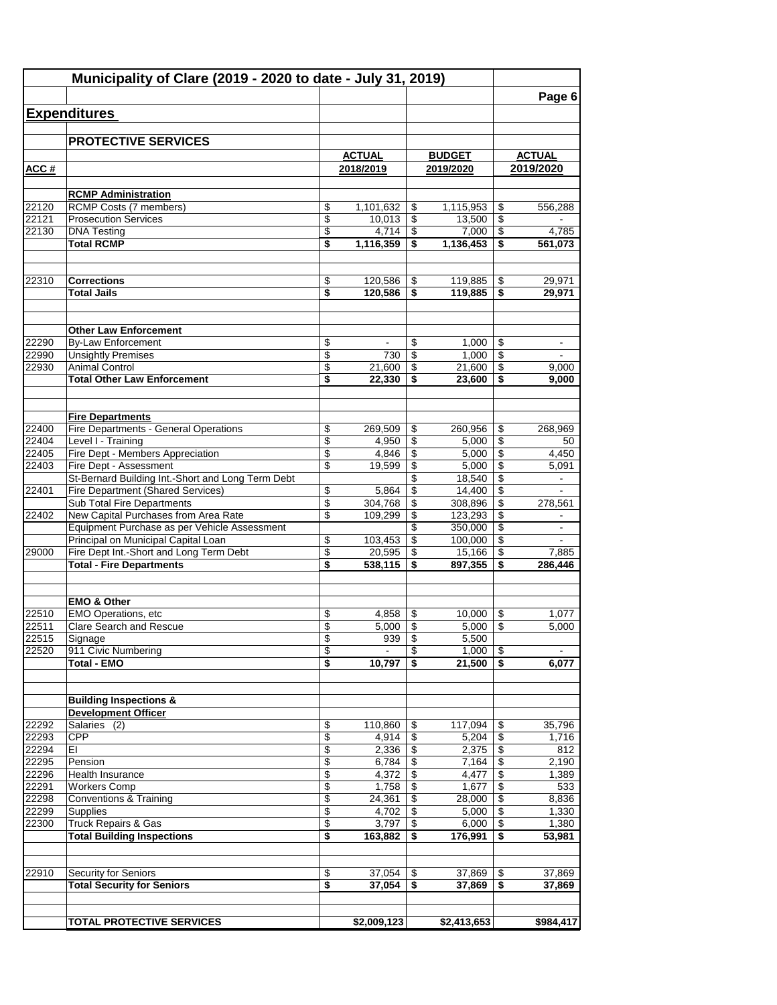| Municipality of Clare (2019 - 2020 to date - July 31, 2019) |                                                                 |                                      |                  |                          |                   |          |                |
|-------------------------------------------------------------|-----------------------------------------------------------------|--------------------------------------|------------------|--------------------------|-------------------|----------|----------------|
|                                                             |                                                                 |                                      |                  |                          |                   |          | Page 6         |
|                                                             | <b>Expenditures</b>                                             |                                      |                  |                          |                   |          |                |
|                                                             |                                                                 |                                      |                  |                          |                   |          |                |
|                                                             | <b>PROTECTIVE SERVICES</b>                                      |                                      |                  |                          |                   |          |                |
|                                                             |                                                                 |                                      | <b>ACTUAL</b>    |                          | <b>BUDGET</b>     |          | <b>ACTUAL</b>  |
| ACC#                                                        |                                                                 |                                      | 2018/2019        |                          | 2019/2020         |          | 2019/2020      |
|                                                             | <b>RCMP Administration</b>                                      |                                      |                  |                          |                   |          |                |
| 22120                                                       | RCMP Costs (7 members)                                          | \$                                   | 1,101,632        | \$                       | 1,115,953         | \$       | 556,288        |
| 22121                                                       | <b>Prosecution Services</b>                                     | \$                                   | 10,013           | \$                       | 13.500            | \$       |                |
| 22130                                                       | <b>DNA Testing</b>                                              | \$                                   | 4,714            | \$                       | 7,000             | \$       | 4,785          |
|                                                             | <b>Total RCMP</b>                                               | \$                                   | 1,116,359        | \$                       | 1,136,453         | \$       | 561,073        |
|                                                             |                                                                 |                                      |                  |                          |                   |          |                |
| 22310                                                       | <b>Corrections</b>                                              | \$                                   | 120,586          | \$                       | 119,885           | \$       | 29,971         |
|                                                             | <b>Total Jails</b>                                              | \$                                   | 120,586          | \$                       | 119,885           | \$       | 29,971         |
|                                                             | <b>Other Law Enforcement</b>                                    |                                      |                  |                          |                   |          |                |
| 22290                                                       | <b>By-Law Enforcement</b>                                       | \$                                   | ۰.               | \$                       | 1,000             | \$       |                |
| 22990                                                       | <b>Unsightly Premises</b>                                       | \$                                   | 730              | \$                       | 1,000             | \$       | $\blacksquare$ |
| 22930                                                       | <b>Animal Control</b>                                           | \$                                   | 21,600           | \$                       | 21,600            | \$       | 9,000          |
|                                                             | <b>Total Other Law Enforcement</b>                              | \$                                   | 22,330           |                          | 23,600            | \$       | 9,000          |
|                                                             | <b>Fire Departments</b>                                         |                                      |                  |                          |                   |          |                |
| 22400                                                       | Fire Departments - General Operations                           | \$                                   | 269,509          | \$                       | 260,956           | \$       | 268,969        |
| 22404                                                       | Level I - Training                                              | $\overline{\mathbf{3}}$              | 4,950            | \$                       | 5,000             | \$       | 50             |
| 22405                                                       | Fire Dept - Members Appreciation                                | \$                                   | 4,846            | \$                       | 5,000             | \$       | 4,450          |
| 22403                                                       | Fire Dept - Assessment                                          | \$                                   | 19,599           | \$                       | 5,000             | \$       | 5,091          |
|                                                             | St-Bernard Building Int.-Short and Long Term Debt               |                                      |                  | \$                       | 18,540            | \$       |                |
| 22401                                                       | Fire Department (Shared Services)<br>Sub Total Fire Departments | \$<br>$\overline{\mathcal{E}}$       | 5,864<br>304,768 | \$<br>\$                 | 14,400<br>308,896 | \$<br>\$ | 278,561        |
| 22402                                                       | New Capital Purchases from Area Rate                            | \$                                   | 109,299          | \$                       | 123,293           | \$       | $\blacksquare$ |
|                                                             | Equipment Purchase as per Vehicle Assessment                    |                                      |                  | \$                       | 350,000           | \$       |                |
|                                                             | Principal on Municipal Capital Loan                             | \$                                   | 103,453          | \$                       | 100,000           | \$       |                |
| 29000                                                       | Fire Dept Int.-Short and Long Term Debt                         | \$                                   | 20,595           | \$                       | 15,166            | \$       | 7,885          |
|                                                             | <b>Total - Fire Departments</b>                                 | \$                                   | 538,115          | \$                       | 897,355           | \$       | 286,446        |
|                                                             | <b>EMO &amp; Other</b>                                          |                                      |                  |                          |                   |          |                |
| 22510                                                       | EMO Operations, etc                                             | \$                                   | 4,858            | \$                       | 10,000            | \$       | 1.077          |
| 22511                                                       | <b>Clare Search and Rescue</b>                                  | \$                                   | 5,000            | \$                       | 5,000             | \$       | 5,000          |
| 22515                                                       | Signage                                                         | \$                                   | 939              | $\overline{\mathcal{L}}$ | 5,500             |          |                |
| 22520                                                       | 911 Civic Numbering                                             | \$                                   | $\sim$           | \$                       | 1,000             | -\$      | $\blacksquare$ |
|                                                             | <b>Total - EMO</b>                                              | \$                                   | 10,797           | s.                       | 21,500            | - \$     | 6,077          |
|                                                             | <b>Building Inspections &amp;</b>                               |                                      |                  |                          |                   |          |                |
|                                                             | <b>Development Officer</b>                                      |                                      |                  |                          |                   |          |                |
| 22292                                                       | Salaries (2)                                                    | \$                                   | 110,860          | \$                       | 117,094           | \$       | 35,796         |
| 22293                                                       | <b>CPP</b>                                                      | \$                                   | 4,914            | \$                       | 5,204             | \$       | 1,716          |
| 22294                                                       | EI                                                              | \$                                   |                  |                          | 2,375             | \$       | 812            |
| 22295                                                       | Pension                                                         | \$                                   |                  |                          | 7,164             | \$       | 2,190          |
| 22296                                                       | Health Insurance                                                | \$                                   | 4,372            | \$                       | 4,477             | \$       | 1,389          |
| 22291                                                       | <b>Workers Comp</b>                                             | \$                                   | 1,758            | \$                       | 1,677             | \$       | 533            |
| 22298<br>22299                                              | <b>Conventions &amp; Training</b><br>Supplies                   | \$<br>\$                             | 24,361<br>4,702  | \$<br>\$                 | 28,000<br>5,000   | \$<br>\$ | 8,836<br>1,330 |
| 22300                                                       | <b>Truck Repairs &amp; Gas</b>                                  | \$                                   | 3,797            | \$                       | 6,000             | \$       | 1,380          |
|                                                             | <b>Total Building Inspections</b>                               | \$                                   | 163,882          | \$                       | 176,991           | \$       | 53,981         |
|                                                             |                                                                 |                                      |                  |                          |                   |          |                |
| 22910                                                       | Security for Seniors                                            | \$                                   | 37,054           | \$                       | 37,869            | \$       | 37,869         |
|                                                             | <b>Total Security for Seniors</b>                               | $\overline{\boldsymbol{\mathsf{s}}}$ | 37,054           | \$                       | 37,869            | \$       | 37,869         |
|                                                             | <b>TOTAL PROTECTIVE SERVICES</b>                                |                                      | \$2,009,123      |                          | \$2,413,653       |          | \$984,417      |
|                                                             |                                                                 |                                      |                  |                          |                   |          |                |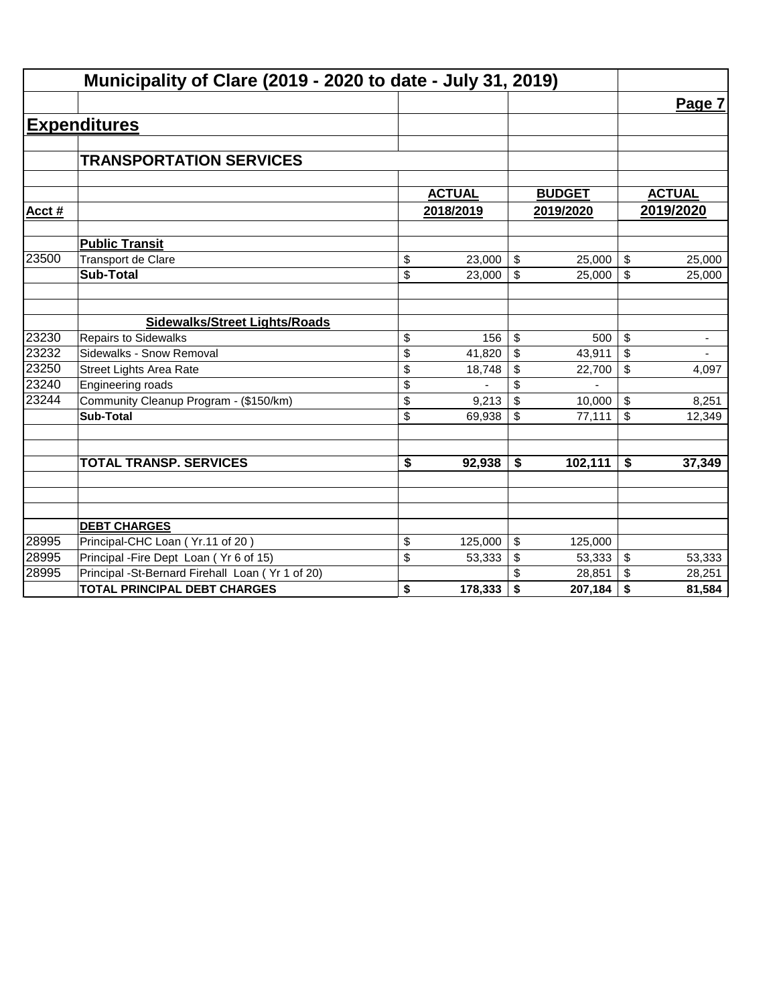|        | Municipality of Clare (2019 - 2020 to date - July 31, 2019) |               |                         |               |                                |
|--------|-------------------------------------------------------------|---------------|-------------------------|---------------|--------------------------------|
|        |                                                             |               |                         |               | Page 7                         |
|        | <b>Expenditures</b>                                         |               |                         |               |                                |
|        |                                                             |               |                         |               |                                |
|        | <b>TRANSPORTATION SERVICES</b>                              |               |                         |               |                                |
|        |                                                             |               |                         |               |                                |
|        |                                                             | <b>ACTUAL</b> |                         | <b>BUDGET</b> | <b>ACTUAL</b>                  |
| Acct # |                                                             | 2018/2019     |                         | 2019/2020     | 2019/2020                      |
|        | <b>Public Transit</b>                                       |               |                         |               |                                |
| 23500  | Transport de Clare                                          | \$<br>23,000  | $\sqrt[6]{\frac{1}{2}}$ | 25,000        | \$<br>25,000                   |
|        | <b>Sub-Total</b>                                            | \$<br>23,000  | \$                      | 25,000        | \$<br>25,000                   |
|        |                                                             |               |                         |               |                                |
|        | <b>Sidewalks/Street Lights/Roads</b>                        |               |                         |               |                                |
| 23230  | <b>Repairs to Sidewalks</b>                                 | \$<br>156     | \$                      | 500           | \$<br>$\overline{\phantom{a}}$ |
| 23232  | Sidewalks - Snow Removal                                    | \$<br>41,820  | \$                      | 43,911        | \$<br>$\overline{\phantom{a}}$ |
| 23250  | <b>Street Lights Area Rate</b>                              | \$<br>18,748  | \$                      | 22,700        | \$<br>4,097                    |
| 23240  | Engineering roads                                           | \$            | \$                      |               |                                |
| 23244  | Community Cleanup Program - (\$150/km)                      | \$<br>9,213   | \$                      | 10,000        | \$<br>8,251                    |
|        | <b>Sub-Total</b>                                            | \$<br>69,938  | \$                      | 77,111        | \$<br>12,349                   |
|        | <b>TOTAL TRANSP. SERVICES</b>                               | \$<br>92,938  | \$                      |               | \$                             |
|        |                                                             |               |                         | 102,111       | 37,349                         |
|        |                                                             |               |                         |               |                                |
|        | <b>DEBT CHARGES</b>                                         |               |                         |               |                                |
| 28995  | Principal-CHC Loan (Yr.11 of 20)                            | \$<br>125,000 | $\sqrt[6]{\frac{1}{2}}$ | 125,000       |                                |
| 28995  | Principal - Fire Dept Loan (Yr 6 of 15)                     | \$<br>53,333  | \$                      | 53,333        | \$<br>53,333                   |
| 28995  | Principal -St-Bernard Firehall Loan (Yr 1 of 20)            |               |                         | 28,851        | \$<br>28,251                   |
|        | <b>TOTAL PRINCIPAL DEBT CHARGES</b>                         | \$<br>178,333 | \$                      | 207,184       | \$<br>81,584                   |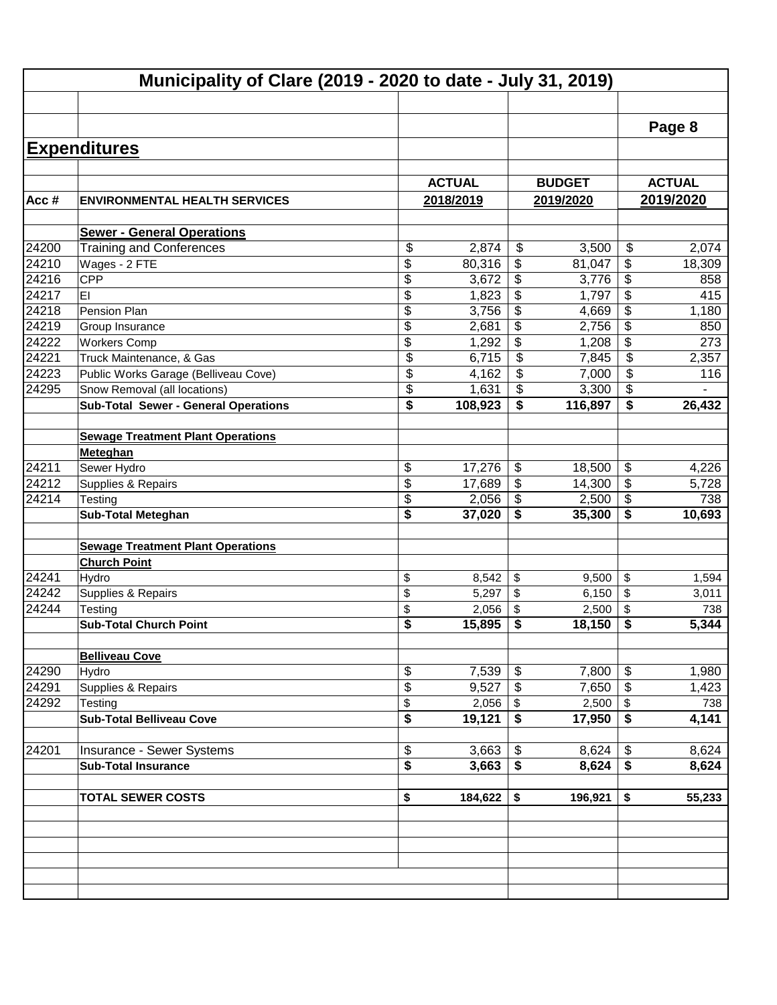|       | Municipality of Clare (2019 - 2020 to date - July 31, 2019) |               |                           |               |                          |               |
|-------|-------------------------------------------------------------|---------------|---------------------------|---------------|--------------------------|---------------|
|       |                                                             |               |                           |               |                          |               |
|       |                                                             |               |                           |               |                          | Page 8        |
|       | <b>Expenditures</b>                                         |               |                           |               |                          |               |
|       |                                                             |               |                           |               |                          |               |
|       |                                                             | <b>ACTUAL</b> |                           | <b>BUDGET</b> |                          | <b>ACTUAL</b> |
| Acc#  | <b>ENVIRONMENTAL HEALTH SERVICES</b>                        | 2018/2019     |                           | 2019/2020     |                          | 2019/2020     |
|       | <b>Sewer - General Operations</b>                           |               |                           |               |                          |               |
| 24200 | <b>Training and Conferences</b>                             | \$<br>2,874   | $\frac{1}{2}$             | 3,500         | \$                       | 2,074         |
| 24210 | Wages - 2 FTE                                               | \$<br>80,316  | \$                        | 81,047        | \$                       | 18,309        |
| 24216 | CPP                                                         | \$<br>3,672   | \$                        | 3,776         | \$                       | 858           |
| 24217 | EI                                                          | \$<br>1,823   | \$                        | 1,797         | \$                       | 415           |
| 24218 | Pension Plan                                                | \$<br>3,756   | \$                        | 4,669         | \$                       | 1,180         |
| 24219 | Group Insurance                                             | \$<br>2,681   | \$                        | 2,756         | $\overline{\mathcal{G}}$ | 850           |
| 24222 | <b>Workers Comp</b>                                         | \$<br>1,292   | \$                        | 1,208         | \$                       | 273           |
| 24221 | Truck Maintenance, & Gas                                    | \$<br>6,715   | $\overline{\mathbf{s}}$   | 7,845         | \$                       | 2,357         |
| 24223 | Public Works Garage (Belliveau Cove)                        | \$<br>4,162   | $\overline{\mathbf{s}}$   | 7,000         | \$                       | 116           |
| 24295 | Snow Removal (all locations)                                | \$<br>1,631   | $\overline{\mathbf{s}}$   | 3,300         | \$                       |               |
|       | <b>Sub-Total Sewer - General Operations</b>                 | \$<br>108,923 | \$                        | 116,897       | \$                       | 26,432        |
|       |                                                             |               |                           |               |                          |               |
|       | <b>Sewage Treatment Plant Operations</b>                    |               |                           |               |                          |               |
|       | Meteghan                                                    |               |                           |               |                          |               |
| 24211 | Sewer Hydro                                                 | \$<br>17,276  | \$                        | 18,500        | \$                       | 4,226         |
| 24212 | Supplies & Repairs                                          | \$<br>17,689  | $\boldsymbol{\mathsf{S}}$ | 14,300        | \$                       | 5,728         |
| 24214 | Testing                                                     | \$<br>2,056   | \$                        | 2,500         | $\overline{\$}$          | 738           |
|       | <b>Sub-Total Meteghan</b>                                   | \$<br>37,020  | \$                        | 35,300        | \$                       | 10,693        |
|       |                                                             |               |                           |               |                          |               |
|       | <b>Sewage Treatment Plant Operations</b>                    |               |                           |               |                          |               |
|       | <b>Church Point</b>                                         |               |                           |               |                          |               |
| 24241 | Hydro                                                       | \$<br>8,542   | \$                        | 9,500         | \$                       | 1,594         |
| 24242 | Supplies & Repairs                                          | \$<br>5,297   | \$                        | 6,150         | \$                       | 3,011         |
| 24244 | Testing                                                     | \$<br>2,056   | \$                        | 2,500         | \$                       | 738           |
|       | <b>Sub-Total Church Point</b>                               | \$<br>15,895  | \$                        | 18,150        | \$                       | 5,344         |
|       |                                                             |               |                           |               |                          |               |
|       | <b>Belliveau Cove</b>                                       |               |                           |               |                          |               |
| 24290 | Hydro                                                       | \$<br>7,539   | \$                        | 7,800         | \$                       | 1,980         |
| 24291 | Supplies & Repairs                                          | \$<br>9,527   | $\boldsymbol{\mathsf{S}}$ | 7,650         | \$                       | 1,423         |
| 24292 | Testing                                                     | \$<br>2,056   | \$                        | 2,500         | \$                       | 738           |
|       | <b>Sub-Total Belliveau Cove</b>                             | \$<br>19,121  | \$                        | 17,950        | \$                       | 4,141         |
|       |                                                             |               |                           |               |                          |               |
| 24201 | Insurance - Sewer Systems                                   | \$<br>3,663   | \$                        | 8,624         | \$                       | 8,624         |
|       | <b>Sub-Total Insurance</b>                                  | \$<br>3,663   | \$                        | 8,624         | \$                       | 8,624         |
|       |                                                             |               |                           |               |                          |               |
|       | <b>TOTAL SEWER COSTS</b>                                    | \$<br>184,622 | \$                        | 196,921       | \$                       | 55,233        |
|       |                                                             |               |                           |               |                          |               |
|       |                                                             |               |                           |               |                          |               |
|       |                                                             |               |                           |               |                          |               |
|       |                                                             |               |                           |               |                          |               |
|       |                                                             |               |                           |               |                          |               |
|       |                                                             |               |                           |               |                          |               |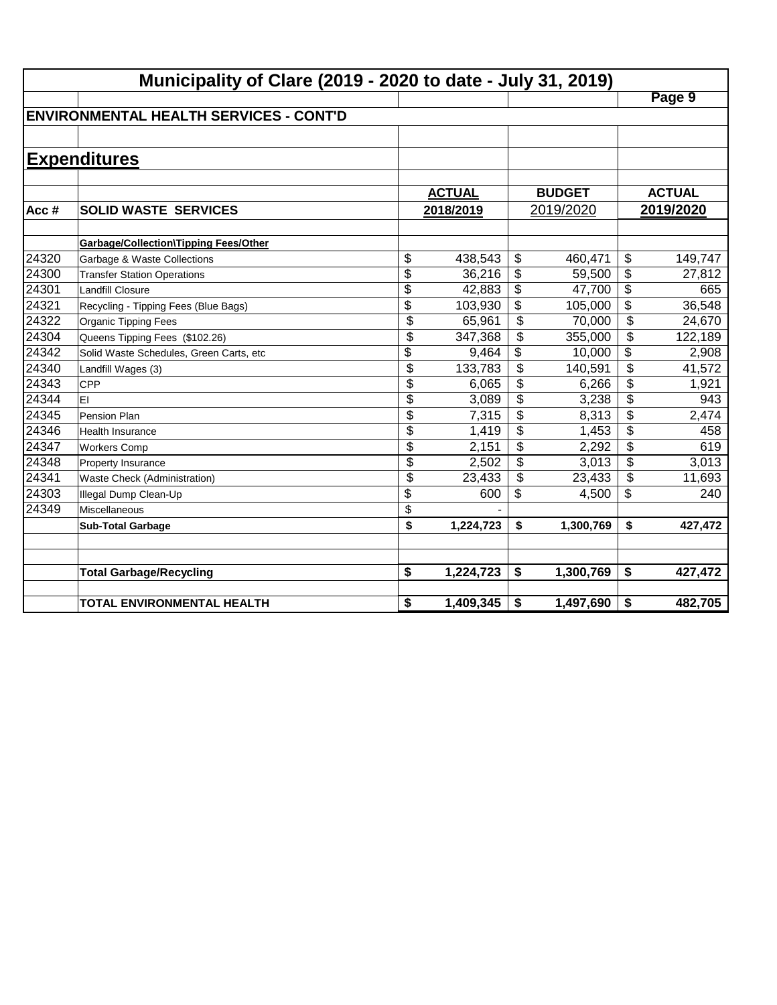|       | Municipality of Clare (2019 - 2020 to date - July 31, 2019) |                          |               |                          |               |                          |               |  |  |  |
|-------|-------------------------------------------------------------|--------------------------|---------------|--------------------------|---------------|--------------------------|---------------|--|--|--|
|       |                                                             |                          |               |                          |               |                          | Page 9        |  |  |  |
|       | <b>IENVIRONMENTAL HEALTH SERVICES - CONT'D</b>              |                          |               |                          |               |                          |               |  |  |  |
|       |                                                             |                          |               |                          |               |                          |               |  |  |  |
|       | <b>Expenditures</b>                                         |                          |               |                          |               |                          |               |  |  |  |
|       |                                                             |                          |               |                          |               |                          |               |  |  |  |
|       |                                                             |                          | <b>ACTUAL</b> |                          | <b>BUDGET</b> |                          | <b>ACTUAL</b> |  |  |  |
| Acc#  | <b>SOLID WASTE SERVICES</b>                                 |                          | 2018/2019     |                          | 2019/2020     |                          | 2019/2020     |  |  |  |
|       |                                                             |                          |               |                          |               |                          |               |  |  |  |
|       | <b>Garbage/Collection\Tipping Fees/Other</b>                |                          |               |                          |               |                          |               |  |  |  |
| 24320 | Garbage & Waste Collections                                 | \$                       | 438,543       | \$                       | 460,471       | \$                       | 149,747       |  |  |  |
| 24300 | <b>Transfer Station Operations</b>                          | $\overline{\$}$          | 36,216        | \$                       | 59,500        | \$                       | 27,812        |  |  |  |
| 24301 | <b>Landfill Closure</b>                                     | \$                       | 42,883        | \$                       | 47,700        | \$                       | 665           |  |  |  |
| 24321 | Recycling - Tipping Fees (Blue Bags)                        | $\overline{\$}$          | 103,930       | \$                       | 105,000       | $\overline{\mathcal{L}}$ | 36,548        |  |  |  |
| 24322 | Organic Tipping Fees                                        | \$                       | 65,961        | \$                       | 70,000        | \$                       | 24,670        |  |  |  |
| 24304 | Queens Tipping Fees (\$102.26)                              | $\overline{\mathcal{L}}$ | 347,368       | $\overline{\mathcal{L}}$ | 355,000       | \$                       | 122,189       |  |  |  |
| 24342 | Solid Waste Schedules, Green Carts, etc                     | $\overline{\$}$          | 9,464         | \$                       | 10,000        | \$                       | 2,908         |  |  |  |
| 24340 | Landfill Wages (3)                                          | $\overline{\$}$          | 133,783       | \$                       | 140,591       | \$                       | 41,572        |  |  |  |
| 24343 | <b>CPP</b>                                                  | \$                       | 6,065         | \$                       | 6,266         | \$                       | 1,921         |  |  |  |
| 24344 | EI                                                          | \$                       | 3,089         | \$                       | 3,238         | \$                       | 943           |  |  |  |
| 24345 | Pension Plan                                                | \$                       | 7,315         | $\mathfrak{s}$           | 8,313         | \$                       | 2,474         |  |  |  |
| 24346 | <b>Health Insurance</b>                                     | \$                       | 1,419         | \$                       | 1,453         | \$                       | 458           |  |  |  |
| 24347 | <b>Workers Comp</b>                                         | \$                       | 2,151         | \$                       | 2,292         | \$                       | 619           |  |  |  |
| 24348 | Property Insurance                                          | \$                       | 2,502         | \$                       | 3,013         | \$                       | 3,013         |  |  |  |
| 24341 | Waste Check (Administration)                                | \$                       | 23,433        | \$                       | 23,433        | \$                       | 11,693        |  |  |  |
| 24303 | Illegal Dump Clean-Up                                       | \$                       | 600           | \$                       | 4,500         | \$                       | 240           |  |  |  |
| 24349 | Miscellaneous                                               | \$                       |               |                          |               |                          |               |  |  |  |
|       | <b>Sub-Total Garbage</b>                                    | \$                       | 1,224,723     | \$                       | 1,300,769     | \$                       | 427,472       |  |  |  |
|       |                                                             |                          |               |                          |               |                          |               |  |  |  |
|       |                                                             |                          |               |                          |               |                          |               |  |  |  |
|       | <b>Total Garbage/Recycling</b>                              | \$                       | 1,224,723     | \$                       | 1,300,769     | \$                       | 427,472       |  |  |  |
|       | TOTAL ENVIRONMENTAL HEALTH                                  | \$                       | 1,409,345     | \$                       | 1,497,690     | \$                       | 482,705       |  |  |  |
|       |                                                             |                          |               |                          |               |                          |               |  |  |  |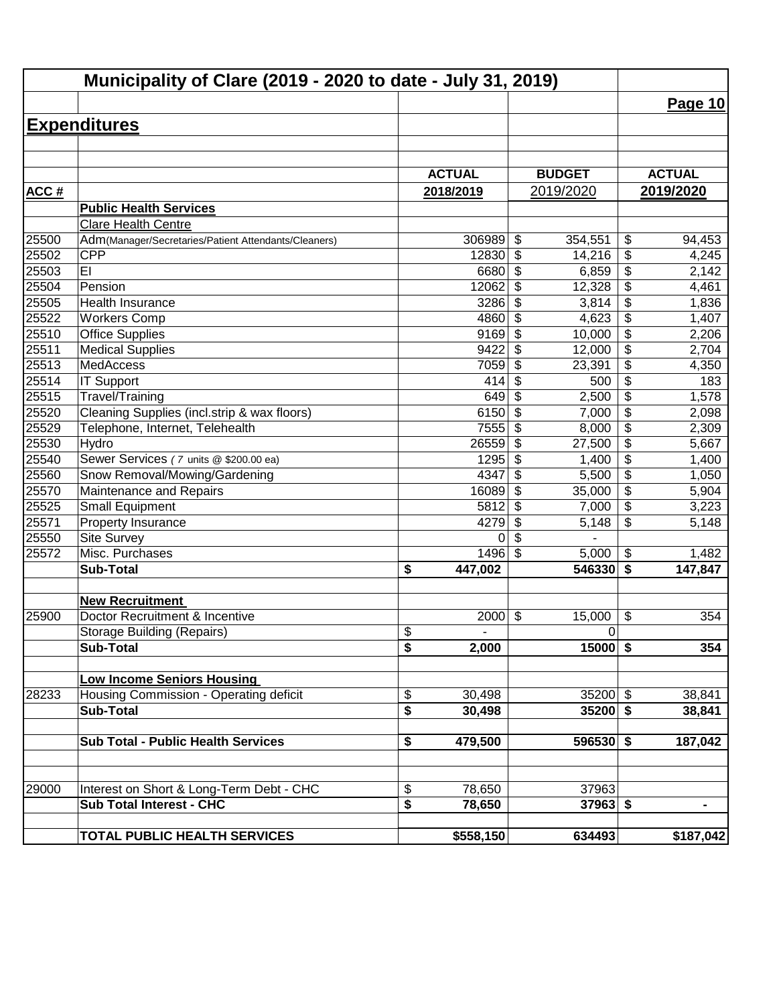|             | Municipality of Clare (2019 - 2020 to date - July 31, 2019)                 |                                                      |                                     |                                  |               |
|-------------|-----------------------------------------------------------------------------|------------------------------------------------------|-------------------------------------|----------------------------------|---------------|
|             |                                                                             |                                                      |                                     |                                  | Page 10       |
|             | <b>Expenditures</b>                                                         |                                                      |                                     |                                  |               |
|             |                                                                             |                                                      |                                     |                                  |               |
|             |                                                                             |                                                      |                                     |                                  |               |
|             |                                                                             | <b>ACTUAL</b>                                        | <b>BUDGET</b>                       |                                  | <b>ACTUAL</b> |
| <b>ACC#</b> |                                                                             | 2018/2019                                            | 2019/2020                           |                                  | 2019/2020     |
|             | <b>Public Health Services</b>                                               |                                                      |                                     |                                  |               |
|             | Clare Health Centre                                                         |                                                      |                                     |                                  |               |
| 25500       | Adm(Manager/Secretaries/Patient Attendants/Cleaners)                        | 306989                                               | \$<br>354,551                       | \$                               | 94,453        |
| 25502       | <b>CPP</b>                                                                  | 12830                                                | \$<br>14,216                        | \$                               | 4,245         |
| 25503       | EI                                                                          | 6680                                                 | $\boldsymbol{\mathsf{S}}$<br>6,859  | \$                               | 2,142         |
| 25504       | Pension                                                                     | 12062                                                | $\boldsymbol{\mathsf{S}}$<br>12,328 | \$                               | 4,461         |
| 25505       | Health Insurance                                                            | 3286                                                 | $\boldsymbol{\mathsf{S}}$<br>3,814  | $\overline{\boldsymbol{\theta}}$ | 1,836         |
| 25522       | <b>Workers Comp</b>                                                         | 4860                                                 | $\overline{\mathcal{S}}$<br>4,623   | $\overline{\$}$                  | 1,407         |
| 25510       | <b>Office Supplies</b>                                                      | 9169                                                 | $\overline{\mathcal{S}}$<br>10,000  | $\overline{\$}$                  | 2,206         |
| 25511       | <b>Medical Supplies</b>                                                     | 9422                                                 | $\overline{\mathcal{S}}$<br>12,000  | $\overline{\$}$                  | 2,704         |
| 25513       | MedAccess                                                                   | 7059                                                 | $\boldsymbol{\mathsf{S}}$<br>23,391 | $\overline{\$}$                  | 4,350         |
| 25514       | <b>IT Support</b>                                                           | 414                                                  | $\boldsymbol{\mathsf{S}}$<br>500    | $\overline{\$}$                  | 183           |
| 25515       | Travel/Training                                                             | 649                                                  | $\boldsymbol{\mathsf{S}}$<br>2,500  | $\overline{\$}$                  | 1,578         |
| 25520       | Cleaning Supplies (incl.strip & wax floors)                                 | 6150                                                 | \$<br>7,000                         | $\overline{\$}$                  | 2,098         |
| 25529       | Telephone, Internet, Telehealth                                             | 7555                                                 | \$<br>8,000                         | \$                               | 2,309         |
| 25530       | Hydro                                                                       | 26559                                                | \$<br>27,500                        | \$                               | 5,667         |
| 25540       | Sewer Services (7 units @ \$200.00 ea)                                      | 1295                                                 | $\boldsymbol{\mathsf{S}}$<br>1,400  | $\overline{\mathcal{L}}$         | 1,400         |
| 25560       | Snow Removal/Mowing/Gardening                                               | 4347                                                 | $\boldsymbol{\mathsf{S}}$<br>5,500  | $\overline{\mathcal{L}}$         | 1,050         |
| 25570       | Maintenance and Repairs                                                     | 16089                                                | $\boldsymbol{\mathsf{S}}$<br>35,000 | $\overline{\mathcal{L}}$         | 5,904         |
| 25525       | <b>Small Equipment</b>                                                      | 5812                                                 | $\boldsymbol{\mathsf{S}}$<br>7,000  | \$                               | 3,223         |
| 25571       | Property Insurance                                                          | 4279                                                 | $\boldsymbol{\mathsf{S}}$<br>5,148  | \$                               | 5,148         |
| 25550       | Site Survey                                                                 | 0                                                    | $\boldsymbol{\mathsf{S}}$           |                                  |               |
| 25572       | Misc. Purchases                                                             | 1496                                                 | $\mathfrak{S}$<br>5,000             | \$                               | 1,482         |
|             | <b>Sub-Total</b>                                                            | \$<br>447,002                                        | 546330                              | \$                               | 147,847       |
|             | <b>New Recruitment</b>                                                      |                                                      |                                     |                                  |               |
| 25900       | Doctor Recruitment & Incentive                                              | 2000                                                 | $\boldsymbol{\mathsf{S}}$<br>15,000 | \$                               | 354           |
|             | <b>Storage Building (Repairs)</b>                                           | \$                                                   | $\mathbf 0$                         |                                  |               |
|             | <b>Sub-Total</b>                                                            | $\overline{\bullet}$<br>2,000                        | $15000$ \$                          |                                  | 354           |
|             |                                                                             |                                                      |                                     |                                  |               |
| 28233       | <b>Low Income Seniors Housing</b><br>Housing Commission - Operating deficit | 30,498                                               | $35200$ \$                          |                                  | 38,841        |
|             | <b>Sub-Total</b>                                                            | \$<br>$\overline{\boldsymbol{\mathsf{s}}}$<br>30,498 | $35200$ \$                          |                                  |               |
|             |                                                                             |                                                      |                                     |                                  | 38,841        |
|             | <b>Sub Total - Public Health Services</b>                                   | 479,500<br>\$                                        | 596530 \$                           |                                  | 187,042       |
|             |                                                                             |                                                      |                                     |                                  |               |
|             |                                                                             |                                                      |                                     |                                  |               |
| 29000       | Interest on Short & Long-Term Debt - CHC                                    | \$<br>78,650                                         | 37963                               |                                  |               |
|             | <b>Sub Total Interest - CHC</b>                                             | \$<br>78,650                                         | $37963$ \$                          |                                  | Ξ.            |
|             | <b>TOTAL PUBLIC HEALTH SERVICES</b>                                         | \$558,150                                            | 634493                              |                                  | \$187,042     |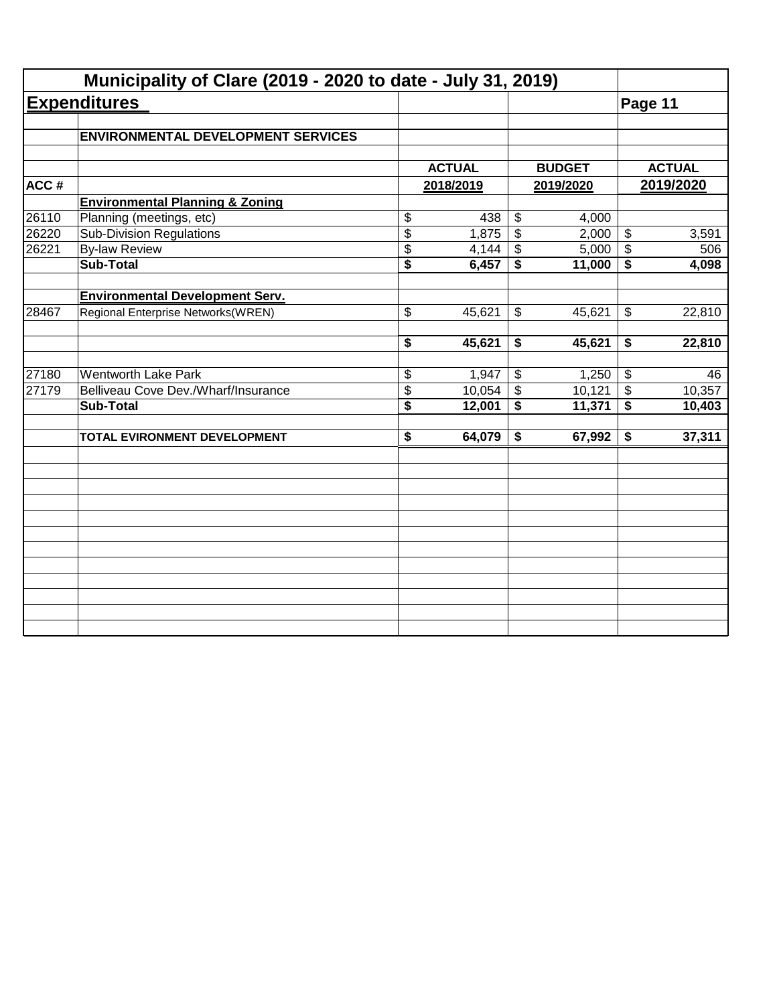|       | Municipality of Clare (2019 - 2020 to date - July 31, 2019) |                             |               |                           |               |                            |               |
|-------|-------------------------------------------------------------|-----------------------------|---------------|---------------------------|---------------|----------------------------|---------------|
|       | <b>Expenditures</b>                                         |                             |               |                           |               | Page 11                    |               |
|       | <b>ENVIRONMENTAL DEVELOPMENT SERVICES</b>                   |                             |               |                           |               |                            |               |
|       |                                                             |                             |               |                           |               |                            |               |
|       |                                                             |                             | <b>ACTUAL</b> |                           | <b>BUDGET</b> |                            | <b>ACTUAL</b> |
| ACC#  |                                                             |                             | 2018/2019     |                           | 2019/2020     |                            | 2019/2020     |
|       | <b>Environmental Planning &amp; Zoning</b>                  |                             |               |                           |               |                            |               |
| 26110 | Planning (meetings, etc)                                    | \$                          | 438           | $\boldsymbol{\mathsf{S}}$ | 4,000         |                            |               |
| 26220 | <b>Sub-Division Regulations</b>                             | $\overline{\$}$             | 1,875         | $\overline{\$}$           | 2,000         | $\boldsymbol{\mathsf{S}}$  | 3,591         |
| 26221 | <b>By-law Review</b>                                        | \$                          | 4,144         | \$                        | 5,000         | \$                         | 506           |
|       | <b>Sub-Total</b>                                            | \$                          | 6,457         | \$                        | 11,000        | \$                         | 4,098         |
|       | <b>Environmental Development Serv.</b>                      |                             |               |                           |               |                            |               |
| 28467 | Regional Enterprise Networks(WREN)                          | \$                          | 45,621        | \$                        | 45,621        | $\boldsymbol{\mathsf{\$}}$ | 22,810        |
|       |                                                             | \$                          | 45,621        | \$                        | 45,621        | \$                         | 22,810        |
| 27180 | <b>Wentworth Lake Park</b>                                  | \$                          | 1,947         | $\boldsymbol{\mathsf{S}}$ | 1,250         | $\boldsymbol{\mathsf{S}}$  | 46            |
| 27179 | Belliveau Cove Dev./Wharf/Insurance                         | \$                          | 10,054        | $\overline{\mathcal{S}}$  | 10,121        | $\boldsymbol{\mathsf{S}}$  | 10,357        |
|       | <b>Sub-Total</b>                                            | $\overline{\boldsymbol{s}}$ | 12,001        | \$                        | 11,371        | $\overline{\mathbf{s}}$    | 10,403        |
|       | TOTAL EVIRONMENT DEVELOPMENT                                | $\overline{\bullet}$        | 64,079        | \$                        | 67,992        | \$                         | 37,311        |
|       |                                                             |                             |               |                           |               |                            |               |
|       |                                                             |                             |               |                           |               |                            |               |
|       |                                                             |                             |               |                           |               |                            |               |
|       |                                                             |                             |               |                           |               |                            |               |
|       |                                                             |                             |               |                           |               |                            |               |
|       |                                                             |                             |               |                           |               |                            |               |
|       |                                                             |                             |               |                           |               |                            |               |
|       |                                                             |                             |               |                           |               |                            |               |
|       |                                                             |                             |               |                           |               |                            |               |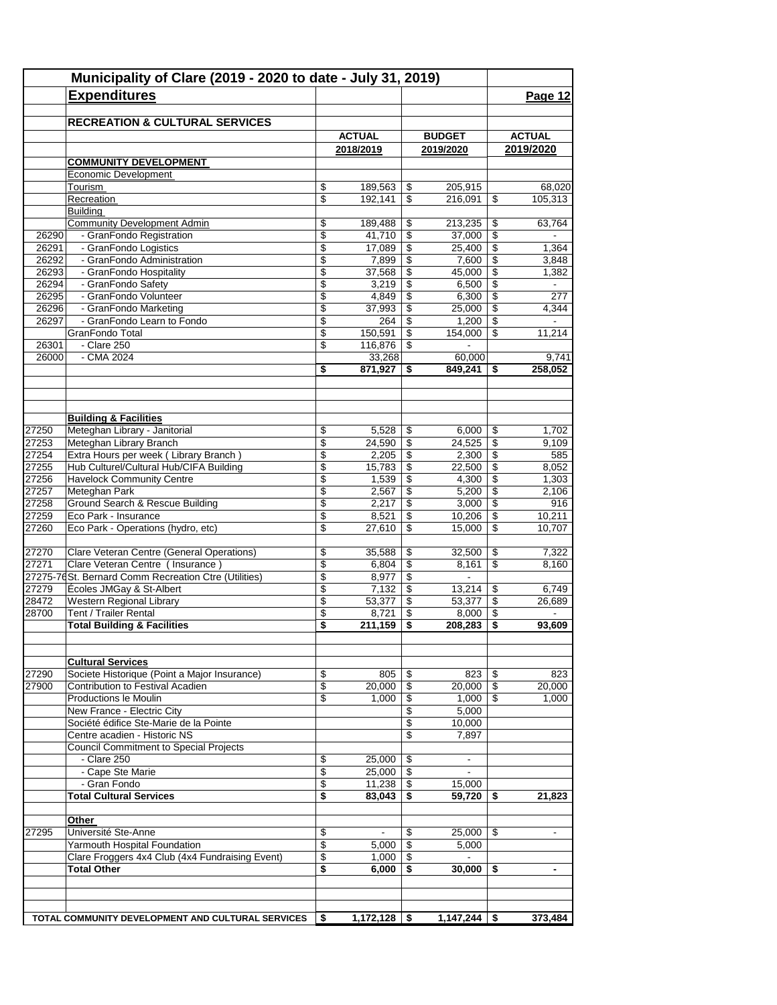|       | Municipality of Clare (2019 - 2020 to date - July 31, 2019)                   |          |                   |                          |                          |                          |                  |
|-------|-------------------------------------------------------------------------------|----------|-------------------|--------------------------|--------------------------|--------------------------|------------------|
|       | <b>Expenditures</b>                                                           |          |                   |                          |                          |                          | Page 12          |
|       |                                                                               |          |                   |                          |                          |                          |                  |
|       | <b>RECREATION &amp; CULTURAL SERVICES</b>                                     |          |                   |                          |                          |                          |                  |
|       |                                                                               |          | <b>ACTUAL</b>     |                          | <b>BUDGET</b>            |                          | <b>ACTUAL</b>    |
|       |                                                                               |          | 2018/2019         |                          | 2019/2020                |                          | 2019/2020        |
|       | <b>COMMUNITY DEVELOPMENT</b>                                                  |          |                   |                          |                          |                          |                  |
|       | Economic Development<br>Tourism                                               | \$       | 189,563           | \$                       | 205,915                  |                          | 68,020           |
|       | Recreation                                                                    | \$       | 192,141           | \$                       | 216,091                  | \$                       | 105,313          |
|       | Building                                                                      |          |                   |                          |                          |                          |                  |
|       | <b>Community Development Admin</b>                                            | \$       | 189,488           | \$                       | 213,235                  | \$                       | 63,764           |
| 26290 | - GranFondo Registration                                                      | \$       | 41,710            | $\overline{\mathcal{L}}$ | 37,000                   | \$                       |                  |
| 26291 | - GranFondo Logistics                                                         | \$       | 17,089            | \$                       | 25,400                   | \$                       | 1,364            |
| 26292 | - GranFondo Administration                                                    | \$       | 7,899             | \$                       | 7,600                    | \$                       | 3,848            |
| 26293 | - GranFondo Hospitality                                                       | \$       | 37,568            | \$                       | 45,000                   | \$                       | 1,382            |
| 26294 | - GranFondo Safety                                                            | \$       | 3,219             | \$                       | 6,500                    | \$                       | $\blacksquare$   |
| 26295 | - GranFondo Volunteer                                                         | \$       | 4,849             | $\overline{\mathcal{L}}$ | 6,300                    | $\overline{\mathcal{L}}$ | 277              |
| 26296 | - GranFondo Marketing                                                         | \$       | 37,993            | \$                       | 25,000                   | \$                       | 4,344            |
| 26297 | - GranFondo Learn to Fondo                                                    | \$       | 264               | \$                       | 1,200                    | \$                       | $\blacksquare$   |
|       | GranFondo Total                                                               | \$       | 150,591           | \$                       | 154,000                  | \$                       | 11,214           |
| 26301 | - Clare 250                                                                   | \$       | 116,876           | \$                       |                          |                          |                  |
| 26000 | $-CMA$ 2024                                                                   | \$       | 33,268<br>871.927 |                          | 60,000<br>849,241        | \$                       | 9,741<br>258,052 |
|       |                                                                               |          |                   | \$                       |                          |                          |                  |
|       |                                                                               |          |                   |                          |                          |                          |                  |
|       |                                                                               |          |                   |                          |                          |                          |                  |
|       | <b>Building &amp; Facilities</b>                                              |          |                   |                          |                          |                          |                  |
| 27250 | Meteghan Library - Janitorial                                                 | \$       | 5,528             | \$                       | 6,000                    | \$                       | 1,702            |
| 27253 | Meteghan Library Branch                                                       | \$       | 24,590            | \$                       | 24,525                   | \$                       | 9,109            |
| 27254 | Extra Hours per week (Library Branch)                                         | \$       | 2,205             | $\sqrt[6]{3}$            | 2,300                    | \$                       | 585              |
| 27255 | Hub Culturel/Cultural Hub/CIFA Building                                       | \$       | 15,783            | \$                       | 22,500                   | \$                       | 8,052            |
| 27256 | <b>Havelock Community Centre</b>                                              | \$       | 1,539             | \$                       | 4,300                    | \$                       | 1,303            |
| 27257 | Meteghan Park                                                                 | \$       | 2,567             | \$                       | 5,200                    | \$                       | 2,106            |
| 27258 | <b>Ground Search &amp; Rescue Building</b>                                    | \$       | 2,217             | \$                       | 3,000                    | \$                       | 916              |
| 27259 | Eco Park - Insurance                                                          | \$       | 8,521             | \$                       | 10,206                   | \$                       | 10,211           |
| 27260 | Eco Park - Operations (hydro, etc)                                            | \$       | 27,610            | \$                       | 15,000                   | \$                       | 10,707           |
| 27270 |                                                                               |          |                   |                          |                          |                          |                  |
| 27271 | Clare Veteran Centre (General Operations)<br>Clare Veteran Centre (Insurance) | \$<br>\$ | 35,588<br>6,804   | \$<br>\$                 | 32,500<br>8,161          | \$<br>\$                 | 7,322<br>8,160   |
|       | 27275-76 St. Bernard Comm Recreation Ctre (Utilities)                         | \$       | 8,977             | $\sqrt[6]{3}$            | $\overline{\phantom{a}}$ |                          |                  |
| 27279 | Écoles JMGay & St-Albert                                                      | \$       | 7,132             | \$                       | 13,214                   | \$                       | 6,749            |
| 28472 | Western Regional Library                                                      | \$       | 53,377            | \$                       | 53,377                   | \$                       | 26,689           |
| 28700 | Tent / Trailer Rental                                                         | \$       | 8,721             | \$                       | 8,000                    | \$                       |                  |
|       | <b>Total Building &amp; Facilities</b>                                        | \$       | 211,159           | \$                       | 208,283                  | \$                       | 93,609           |
|       |                                                                               |          |                   |                          |                          |                          |                  |
|       |                                                                               |          |                   |                          |                          |                          |                  |
|       | <b>Cultural Services</b>                                                      |          |                   |                          |                          |                          |                  |
| 27290 | Societe Historique (Point a Major Insurance)                                  | \$       | 805               | \$                       | 823                      | \$                       | 823              |
| 27900 | Contribution to Festival Acadien                                              | \$       | 20,000            | \$                       | 20,000                   | \$                       | 20,000           |
|       | Productions le Moulin                                                         | \$       | 1,000             | \$                       | 1,000                    | \$                       | 1,000            |
|       | New France - Electric City                                                    |          |                   | \$                       | 5,000                    |                          |                  |
|       | Société édifice Ste-Marie de la Pointe<br>Centre acadien - Historic NS        |          |                   | \$<br>\$                 | 10,000<br>7,897          |                          |                  |
|       | <b>Council Commitment to Special Projects</b>                                 |          |                   |                          |                          |                          |                  |
|       | - Clare 250                                                                   | \$       | 25,000            | \$                       | $\blacksquare$           |                          |                  |
|       | - Cape Ste Marie                                                              | \$       | 25,000            | \$                       | $\blacksquare$           |                          |                  |
|       | - Gran Fondo                                                                  | \$       | 11,238            | \$                       | 15,000                   |                          |                  |
|       | <b>Total Cultural Services</b>                                                | \$       | 83,043            | \$                       | 59.720                   | \$                       | 21,823           |
|       |                                                                               |          |                   |                          |                          |                          |                  |
|       | Other                                                                         |          |                   |                          |                          |                          |                  |
| 27295 | Université Ste-Anne                                                           | \$       | $\blacksquare$    | \$                       | 25,000                   | \$                       |                  |
|       | Yarmouth Hospital Foundation                                                  | \$       | 5,000             | \$                       | 5,000                    |                          |                  |
|       | Clare Froggers 4x4 Club (4x4 Fundraising Event)                               | \$       | 1,000             | \$                       | $\blacksquare$           |                          |                  |
|       | <b>Total Other</b>                                                            | \$       | 6,000             | \$                       | 30,000                   | \$                       |                  |
|       |                                                                               |          |                   |                          |                          |                          |                  |
|       |                                                                               |          |                   |                          |                          |                          |                  |
|       | TOTAL COMMUNITY DEVELOPMENT AND CULTURAL SERVICES                             | \$       | $1,172,128$ \$    |                          | 1,147,244                | \$                       | 373,484          |
|       |                                                                               |          |                   |                          |                          |                          |                  |